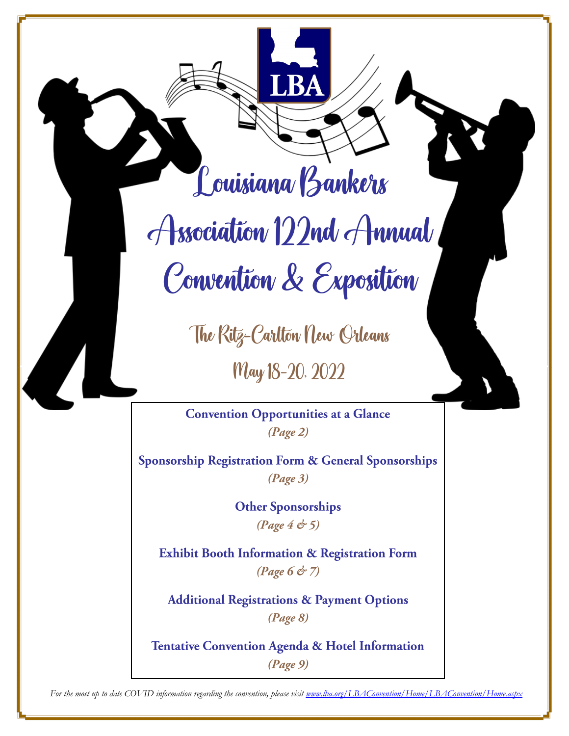Louisiana Bankers

Association 122nd Annual Convention & Exposition

The Ritz-Carlton New Orleans

May 18-20, 2022

**Convention Opportunities at a Glance**  $(Page 2)$ 

Sponsorship Registration Form & General Sponsorships  $(Page 3)$ 

> **Other Sponsorships** (Page  $4 \text{ } \textcircled{5}$ )

Exhibit Booth Information & Registration Form 

**Additional Registrations & Payment Options**  $(Page 8)$ 

**Tentative Convention Agenda & Hotel Information**  $(Page 9)$ 

*For the most up to date COVID information regarding the convention, please visit www.lba.org/LBAConvention/Home/LBAConvention/Home.aspx*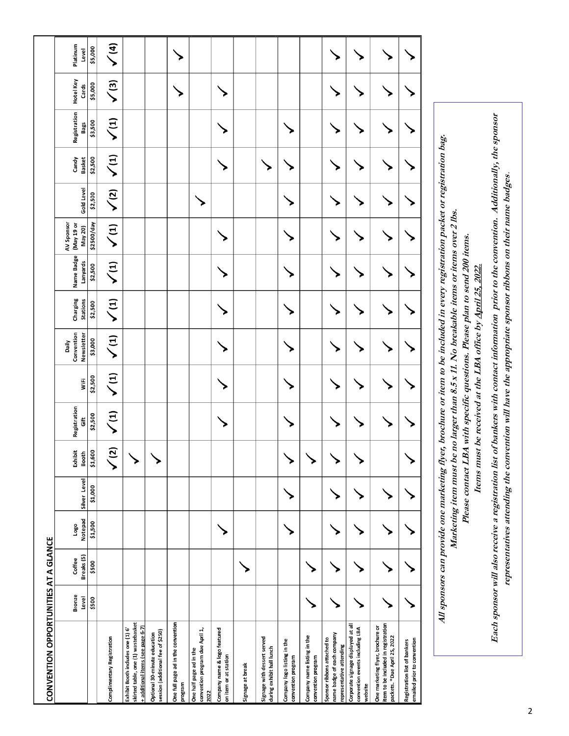| CONVENTION OPPORTUNITIES AT A GLANCE                                                                         |                        |                      |                 |              |                  |                                       |            |                                   |                             |                        |                                     |                   |                        |                      |                    |                   |
|--------------------------------------------------------------------------------------------------------------|------------------------|----------------------|-----------------|--------------|------------------|---------------------------------------|------------|-----------------------------------|-----------------------------|------------------------|-------------------------------------|-------------------|------------------------|----------------------|--------------------|-------------------|
|                                                                                                              | <b>Bronze</b><br>Level | Breaks (5)<br>Coffee | Notepad<br>Logo | Silver Level | Exhibit<br>Booth | Registration<br>$\ddot{\overline{5}}$ | WiFi       | Convention<br>Newsletter<br>Daily | Charging<br><b>Stations</b> | Name Badge<br>Lanyards | AV Sponsor<br>(May 19 or<br>May 20) | <b>Gold Level</b> | Candy<br><b>Basket</b> | Registration<br>Bags | Hotel Key<br>Cards | Platinum<br>Level |
|                                                                                                              | \$500                  | \$500                | \$1,500         | \$1,000      | \$1,600          | \$2,500                               | \$2,500    | \$3,000                           | \$2,500                     | \$2,500                | \$2500/day                          | \$2,500           | \$2,500                | \$3,500              | \$5,000            | \$5,000           |
| Complimentary Registration                                                                                   |                        |                      |                 |              | $\overline{c}$   | $\sqrt{1}$                            | $\sqrt{1}$ | $\sqrt{1}$                        | $\sqrt{1}$                  | $\sqrt{1}$             | $\sqrt{1}$                          | $\sqrt{2}$        | $\sqrt{1}$             | $\sqrt{1}$           | $\sqrt{3}$         | $\sqrt{4}$        |
| skirted table, one (1) wastebasket<br>+ additional items (see page 6-7)<br>Exhibit Booth includes one (1) 6' |                        |                      |                 |              |                  |                                       |            |                                   |                             |                        |                                     |                   |                        |                      |                    |                   |
| session (additional fee of \$250)<br>Optional 30-minute education                                            |                        |                      |                 |              |                  |                                       |            |                                   |                             |                        |                                     |                   |                        |                      |                    |                   |
| One full page ad in the convention<br>mergon                                                                 |                        |                      |                 |              |                  |                                       |            |                                   |                             |                        |                                     |                   |                        |                      |                    |                   |
| convention program due April 1,<br>One half page ad in the<br>2022                                           |                        |                      |                 |              |                  |                                       |            |                                   |                             |                        |                                     |                   |                        |                      |                    |                   |
| Company name & logo featured<br>on item or at station                                                        |                        |                      |                 |              |                  |                                       |            |                                   |                             |                        |                                     |                   |                        |                      |                    |                   |
| Signage at break                                                                                             |                        |                      |                 |              |                  |                                       |            |                                   |                             |                        |                                     |                   |                        |                      |                    |                   |
| Signage with dessert served<br>during exhibit hall lunch                                                     |                        |                      |                 |              |                  |                                       |            |                                   |                             |                        |                                     |                   |                        |                      |                    |                   |
| Company logo listing in the<br>convention program                                                            |                        |                      |                 |              |                  |                                       |            |                                   |                             |                        |                                     |                   |                        |                      |                    |                   |
| Company name listing in the<br>convention program                                                            |                        |                      |                 |              |                  |                                       |            |                                   |                             |                        |                                     |                   |                        |                      |                    |                   |
| name badge of each company<br>Sponsor ribbons attached to<br>representative attending                        |                        |                      |                 |              |                  |                                       |            |                                   |                             |                        |                                     |                   |                        |                      |                    |                   |
| Corporate signage displayed at all<br>convention events including LBA<br>website                             |                        |                      |                 |              |                  |                                       |            |                                   |                             |                        |                                     |                   |                        |                      |                    |                   |
| item to be included in registration<br>One marketing flyer, brochure or<br>packets. * Due April 25, 2022     |                        |                      |                 |              |                  |                                       |            |                                   |                             |                        |                                     |                   |                        |                      |                    |                   |
| emailed prior to convention<br>Registration list of bankers                                                  |                        |                      |                 |              |                  |                                       |            |                                   |                             |                        |                                     |                   |                        |                      |                    |                   |
|                                                                                                              |                        |                      |                 |              |                  |                                       |            |                                   |                             |                        |                                     |                   |                        |                      |                    |                   |

Each sponsor will also receive a registration list of bankers with contact information prior to the convention. Additionally, the sponsor **Each sponsor will also receive a registration list of bankers with contact information prior to the convention. Additionally, the sponsor representatives attending the convention will have the appropriate sponsor ribbons on their name badges.** representatives attending the convention will have the appropriate sponsor ribbons on their name badges. Items must be received at the LBA office by April 25, 2022. **Items must be received at the LBA office by April 25, 2022.**

**Please contact LBA with specific questions. Please plan to send 200 items.** 

Please contact LBA with specific questions. Please plan to send 200 items.

All sponsors can provide one marketing flyer, brochure or item to be included in every registration packet or registration bag. **All sponsors can provide one marketing flyer, brochure or item to be included in every registration packet or registration bag. Marketing item must be no larger than 8.5 x 11. No breakable items or items over 2 lbs.**  Marketing item must be no larger than 8.5 x 11. No breakable items or items over 2 lbs.

2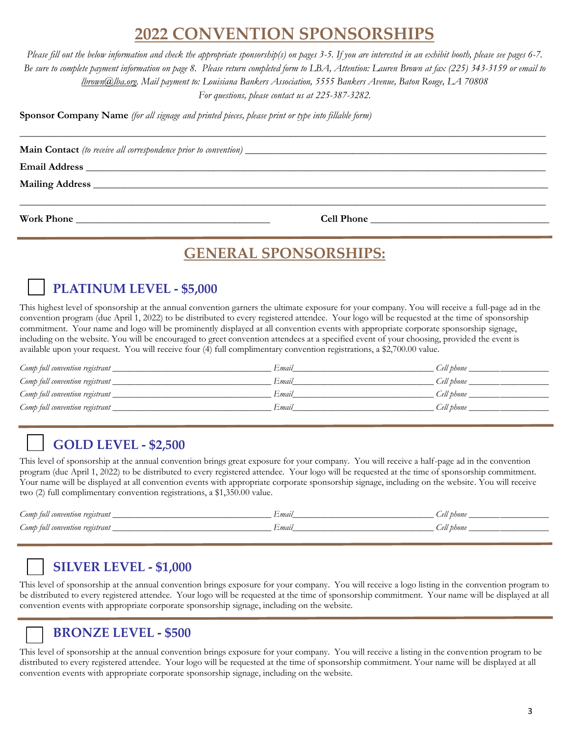# **2022 CONVENTION SPONSORSHIPS**

*Please fill out the below information and check the appropriate sponsorship(s) on pages 3-5. If you are interested in an exhibit booth, please see pages 6-7. Be sure to complete payment information on page 8. Please return completed form to LBA, Attention: Lauren Brown at fax (225) 343-3159 or email to lbrown@lba.org. Mail payment to: Louisiana Bankers Association, 5555 Bankers Avenue, Baton Rouge, LA 70808 For questions, please contact us at 225-387-3282.*

\_\_\_\_\_\_\_\_\_\_\_\_\_\_\_\_\_\_\_\_\_\_\_\_\_\_\_\_\_\_\_\_\_\_\_\_\_\_\_\_\_\_\_\_\_\_\_\_\_\_\_\_\_\_\_\_\_\_\_\_\_\_\_\_\_\_\_\_\_\_\_\_\_\_\_\_\_\_\_\_\_\_\_\_\_\_\_\_\_\_\_\_\_\_\_\_\_\_\_\_\_\_\_

**Sponsor Company Name** *(for all signage and printed pieces, please print or type into fillable form)*

**Main Contact** *(to receive all correspondence prior to convention)* 

 $Email$  Address

**Mailing Address** \_\_\_\_\_\_\_\_\_\_\_\_\_\_\_\_\_\_\_\_\_\_\_\_\_\_\_\_\_\_\_\_\_\_\_\_\_\_\_\_\_\_\_\_\_\_\_\_\_\_\_\_\_\_\_\_\_\_\_\_\_\_\_\_\_\_\_\_\_\_\_\_\_\_\_\_\_\_\_\_\_\_\_\_\_\_\_\_\_

**Work Phone** \_\_\_\_\_\_\_\_\_\_\_\_\_\_\_\_\_\_\_\_\_\_\_\_\_\_\_\_\_\_\_\_\_\_\_\_\_\_ **Cell Phone** \_\_\_\_\_\_\_\_\_\_\_\_\_\_\_\_\_\_\_\_\_\_\_\_\_\_\_\_\_\_\_\_\_\_\_

# **GENERAL SPONSORSHIPS:**

\_\_\_\_\_\_\_\_\_\_\_\_\_\_\_\_\_\_\_\_\_\_\_\_\_\_\_\_\_\_\_\_\_\_\_\_\_\_\_\_\_\_\_\_\_\_\_\_\_\_\_\_\_\_\_\_\_\_\_\_\_\_\_\_\_\_\_\_\_\_\_\_\_\_\_\_\_\_\_\_\_\_\_\_\_\_\_\_\_\_\_\_\_\_\_\_\_\_\_\_\_\_\_

# **PLATINUM LEVEL - \$5,000**

This highest level of sponsorship at the annual convention garners the ultimate exposure for your company. You will receive a full-page ad in the convention program (due April 1, 2022) to be distributed to every registered attendee. Your logo will be requested at the time of sponsorship commitment. Your name and logo will be prominently displayed at all convention events with appropriate corporate sponsorship signage, including on the website. You will be encouraged to greet convention attendees at a specified event of your choosing, provided the event is available upon your request. You will receive four (4) full complimentary convention registrations, a \$2,700.00 value. 

| Comp full convention registrant | Email | Cell phone |
|---------------------------------|-------|------------|
| Comp full convention registrant | Email | Cell phone |
| Comp full convention registrant | Email | Cell phone |
| Comp full convention registrant | Email | Cell phone |

# **GOLD LEVEL - \$2,500**

This level of sponsorship at the annual convention brings great exposure for your company. You will receive a half-page ad in the convention program (due April 1, 2022) to be distributed to every registered attendee. Your logo will be requested at the time of sponsorship commitment. Your name will be displayed at all convention events with appropriate corporate sponsorship signage, including on the website. You will receive two (2) full complimentary convention registrations, a \$1,350.00 value.

| Somp full<br>'l convention registrant | Email | Cell phone |
|---------------------------------------|-------|------------|
| Comp full convention registrant       | Emau  | Cell phone |

# **SILVER LEVEL - \$1,000**

This level of sponsorship at the annual convention brings exposure for your company. You will receive a logo listing in the convention program to be distributed to every registered attendee. Your logo will be requested at the time of sponsorship commitment. Your name will be displayed at all convention events with appropriate corporate sponsorship signage, including on the website.

## **BRONZE LEVEL - \$500**

This level of sponsorship at the annual convention brings exposure for your company. You will receive a listing in the convention program to be distributed to every registered attendee. Your logo will be requested at the time of sponsorship commitment. Your name will be displayed at all convention events with appropriate corporate sponsorship signage, including on the website.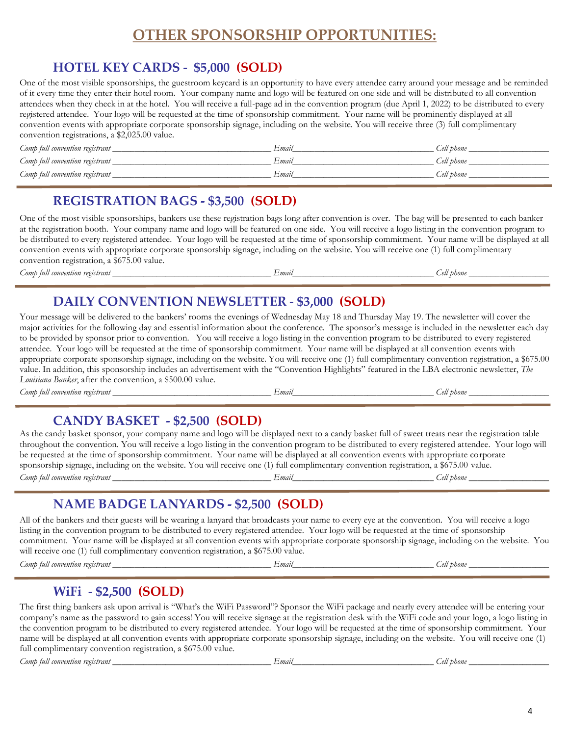# **OTHER SPONSORSHIP OPPORTUNITIES:**

## **HOTEL KEY CARDS - \$5,000 (SOLD)**

One of the most visible sponsorships, the guestroom keycard is an opportunity to have every attendee carry around your message and be reminded of it every time they enter their hotel room. Your company name and logo will be featured on one side and will be distributed to all convention attendees when they check in at the hotel. You will receive a full-page ad in the convention program (due April 1, 2022) to be distributed to every registered attendee. Your logo will be requested at the time of sponsorship commitment. Your name will be prominently displayed at all convention events with appropriate corporate sponsorship signage, including on the website. You will receive three (3) full complimentary convention registrations, a \$2,025.00 value.

| Comp full convention registrant | -mail | Cell phone |
|---------------------------------|-------|------------|
| Comp full convention registrant | Email | Cell phone |
| Comp full convention registrant | Email | Cell phone |

### **REGISTRATION BAGS - \$3,500 (SOLD)**

One of the most visible sponsorships, bankers use these registration bags long after convention is over. The bag will be presented to each banker at the registration booth. Your company name and logo will be featured on one side. You will receive a logo listing in the convention program to be distributed to every registered attendee. Your logo will be requested at the time of sponsorship commitment. Your name will be displayed at all convention events with appropriate corporate sponsorship signage, including on the website. You will receive one (1) full complimentary convention registration, a \$675.00 value.

*Comp full convention registrant*  $\qquad \qquad$   $\qquad \qquad$   $\qquad$   $\qquad$   $\qquad$   $\qquad$   $\qquad$   $\qquad$   $\qquad$   $\qquad$   $\qquad$   $\qquad$   $\qquad$   $\qquad$   $\qquad$   $\qquad$   $\qquad$   $\qquad$   $\qquad$   $\qquad$   $\qquad$   $\qquad$   $\qquad$   $\qquad$   $\qquad$   $\qquad$   $\qquad$   $\qquad$   $\qquad$   $\qquad$   $\$ 

j

# **DAILY CONVENTION NEWSLETTER - \$3,000 (SOLD)**

Your message will be delivered to the bankers' rooms the evenings of Wednesday May 18 and Thursday May 19. The newsletter will cover the major activities for the following day and essential information about the conference. The sponsor's message is included in the newsletter each day to be provided by sponsor prior to convention. You will receive a logo listing in the convention program to be distributed to every registered attendee. Your logo will be requested at the time of sponsorship commitment. Your name will be displayed at all convention events with appropriate corporate sponsorship signage, including on the website. You will receive one (1) full complimentary convention registration, a \$675.00 value. In addition, this sponsorship includes an advertisement with the "Convention Highlights" featured in the LBA electronic newsletter, *The Louisiana Banker*, after the convention, a \$500.00 value.

*Comp full convention registrant \_\_\_\_\_\_\_\_\_\_\_\_\_\_\_\_\_\_\_\_\_\_\_\_\_\_\_\_\_\_\_\_\_\_\_\_ Email\_\_\_\_\_\_\_\_\_\_\_\_\_\_\_\_\_\_\_\_\_\_\_\_\_\_\_\_\_\_\_\_ Cell phone \_\_\_\_\_\_\_\_\_\_\_\_\_\_\_\_\_\_*

**CANDY BASKET - \$2,500 (SOLD)**

| As the candy basket sponsor, your company name and logo will be displayed next to a candy basket full of sweet treats near the registration table   |       |            |
|-----------------------------------------------------------------------------------------------------------------------------------------------------|-------|------------|
| throughout the convention. You will receive a logo listing in the convention program to be distributed to every registered attendee. Your logo will |       |            |
| be requested at the time of sponsorship commitment. Your name will be displayed at all convention events with appropriate corporate                 |       |            |
| sponsorship signage, including on the website. You will receive one (1) full complimentary convention registration, a \$675.00 value.               |       |            |
| Comp full convention registrant __                                                                                                                  | Email | Cell phone |

# **NAME BADGE LANYARDS - \$2,500 (SOLD)**

All of the bankers and their guests will be wearing a lanyard that broadcasts your name to every eye at the convention. You will receive a logo listing in the convention program to be distributed to every registered attendee. Your logo will be requested at the time of sponsorship commitment. Your name will be displayed at all convention events with appropriate corporate sponsorship signage, including on the website. You will receive one (1) full complimentary convention registration, a \$675.00 value.

*Comp full convention registrant \_\_\_\_\_\_\_\_\_\_\_\_\_\_\_\_\_\_\_\_\_\_\_\_\_\_\_\_\_\_\_\_\_\_\_\_ Email\_\_\_\_\_\_\_\_\_\_\_\_\_\_\_\_\_\_\_\_\_\_\_\_\_\_\_\_\_\_\_\_ Cell phone \_\_\_\_\_\_\_\_\_\_\_\_\_\_\_\_\_\_*

### **WiFi - \$2,500 (SOLD)**

The first thing bankers ask upon arrival is "What's the WiFi Password"? Sponsor the WiFi package and nearly every attendee will be entering your company's name as the password to gain access! You will receive signage at the registration desk with the WiFi code and your logo, a logo listing in the convention program to be distributed to every registered attendee. Your logo will be requested at the time of sponsorship commitment. Your name will be displayed at all convention events with appropriate corporate sponsorship signage, including on the website. You will receive one (1) full complimentary convention registration, a \$675.00 value.

*Comp full convention registrant \_\_\_\_\_\_\_\_\_\_\_\_\_\_\_\_\_\_\_\_\_\_\_\_\_\_\_\_\_\_\_\_\_\_\_\_ Email\_\_\_\_\_\_\_\_\_\_\_\_\_\_\_\_\_\_\_\_\_\_\_\_\_\_\_\_\_\_\_\_ Cell phone \_\_\_\_\_\_\_\_\_\_\_\_\_\_\_\_\_\_*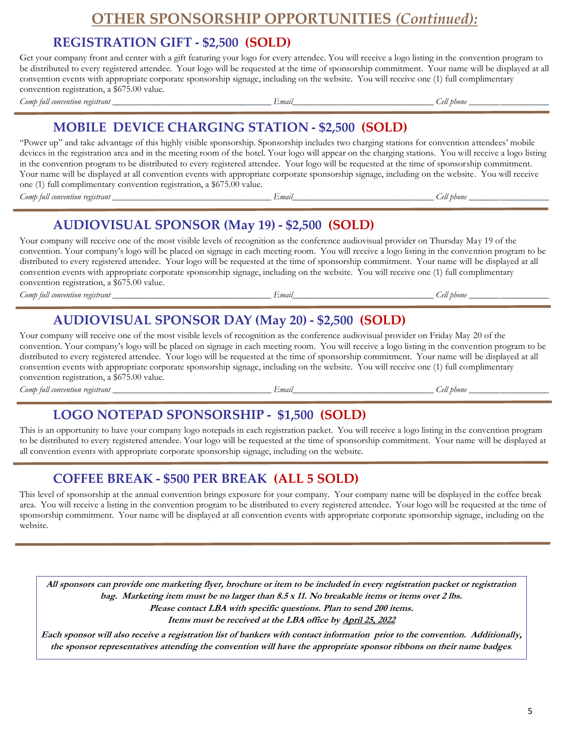### **OTHER SPONSORSHIP OPPORTUNITIES** *(Continued):*

### **REGISTRATION GIFT - \$2,500 (SOLD)**

Get your company front and center with a gift featuring your logo for every attendee. You will receive a logo listing in the convention program to be distributed to every registered attendee. Your logo will be requested at the time of sponsorship commitment. Your name will be displayed at all convention events with appropriate corporate sponsorship signage, including on the website. You will receive one (1) full complimentary convention registration, a \$675.00 value. *Comp full convention registrant \_\_\_\_\_\_\_\_\_\_\_\_\_\_\_\_\_\_\_\_\_\_\_\_\_\_\_\_\_\_\_\_\_\_\_\_ Email\_\_\_\_\_\_\_\_\_\_\_\_\_\_\_\_\_\_\_\_\_\_\_\_\_\_\_\_\_\_\_\_ Cell phone \_\_\_\_\_\_\_\_\_\_\_\_\_\_\_\_\_\_*

### **MOBILE DEVICE CHARGING STATION - \$2,500 (SOLD)**

"Power up" and take advantage of this highly visible sponsorship. Sponsorship includes two charging stations for convention attendees' mobile devices in the registration area and in the meeting room of the hotel. Your logo will appear on the charging stations. You will receive a logo listing in the convention program to be distributed to every registered attendee. Your logo will be requested at the time of sponsorship commitment. Your name will be displayed at all convention events with appropriate corporate sponsorship signage, including on the website. You will receive one (1) full complimentary convention registration, a \$675.00 value.

*Comp full convention registrant \_\_\_\_\_\_\_\_\_\_\_\_\_\_\_\_\_\_\_\_\_\_\_\_\_\_\_\_\_\_\_\_\_\_\_\_ Email\_\_\_\_\_\_\_\_\_\_\_\_\_\_\_\_\_\_\_\_\_\_\_\_\_\_\_\_\_\_\_\_ Cell phone \_\_\_\_\_\_\_\_\_\_\_\_\_\_\_\_\_\_*

# **AUDIOVISUAL SPONSOR (May 19) - \$2,500 (SOLD)**

Your company will receive one of the most visible levels of recognition as the conference audiovisual provider on Thursday May 19 of the convention. Your company's logo will be placed on signage in each meeting room. You will receive a logo listing in the convention program to be distributed to every registered attendee. Your logo will be requested at the time of sponsorship commitment. Your name will be displayed at all convention events with appropriate corporate sponsorship signage, including on the website. You will receive one (1) full complimentary convention registration, a \$675.00 value.

*Comp full convention registrant \_\_\_\_\_\_\_\_\_\_\_\_\_\_\_\_\_\_\_\_\_\_\_\_\_\_\_\_\_\_\_\_\_\_\_\_ Email\_\_\_\_\_\_\_\_\_\_\_\_\_\_\_\_\_\_\_\_\_\_\_\_\_\_\_\_\_\_\_\_ Cell phone \_\_\_\_\_\_\_\_\_\_\_\_\_\_\_\_\_\_*

# **AUDIOVISUAL SPONSOR DAY (May 20) - \$2,500 (SOLD)**

Your company will receive one of the most visible levels of recognition as the conference audiovisual provider on Friday May 20 of the convention. Your company's logo will be placed on signage in each meeting room. You will receive a logo listing in the convention program to be distributed to every registered attendee. Your logo will be requested at the time of sponsorship commitment. Your name will be displayed at all convention events with appropriate corporate sponsorship signage, including on the website. You will receive one (1) full complimentary convention registration, a \$675.00 value.

 $\noindent \textit{Comb full convention registration} \textit{registerant} \underline{\textit{f} \textit{m} \textit{u}} \underline{\textit{f} \textit{m}} \underline{\textit{f} \textit{m}} \underline{\textit{f} \textit{m}} \underline{\textit{f} \textit{m}} \underline{\textit{f} \textit{m}} \underline{\textit{f} \textit{m}} \underline{\textit{f} \textit{m}} \underline{\textit{f} \textit{m}} \underline{\textit{f} \textit{m}} \underline{\textit{f} \textit{m}} \underline{\textit{f} \textit{m}} \underline{\textit{f} \textit{m}} \underline{\textit{f} \textit{m}}$ 

# **LOGO NOTEPAD SPONSORSHIP - \$1,500 (SOLD)**

This is an opportunity to have your company logo notepads in each registration packet. You will receive a logo listing in the convention program to be distributed to every registered attendee. Your logo will be requested at the time of sponsorship commitment. Your name will be displayed at all convention events with appropriate corporate sponsorship signage, including on the website.

## **COFFEE BREAK - \$500 PER BREAK (ALL 5 SOLD)**

This level of sponsorship at the annual convention brings exposure for your company. Your company name will be displayed in the coffee break area. You will receive a listing in the convention program to be distributed to every registered attendee. Your logo will be requested at the time of sponsorship commitment. Your name will be displayed at all convention events with appropriate corporate sponsorship signage, including on the website.

**All sponsors can provide one marketing flyer, brochure or item to be included in every registration packet or registration bag. Marketing item must be no larger than 8.5 x 11. No breakable items or items over 2 lbs. Please contact LBA with specific questions. Plan to send 200 items. Items must be received at the LBA office by April 25, 2022**

**Each sponsor will also receive a registration list of bankers with contact information prior to the convention. Additionally, the sponsor representatives attending the convention will have the appropriate sponsor ribbons on their name badges.**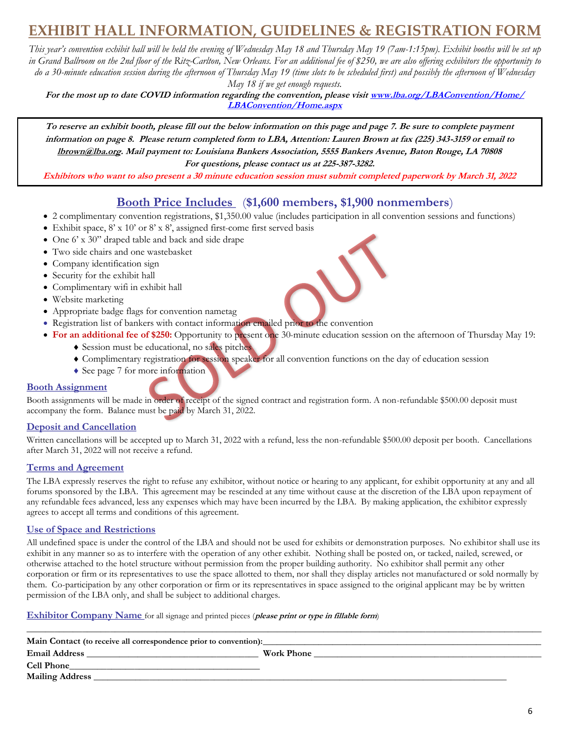# **EXHIBIT HALL INFORMATION, GUIDELINES & REGISTRATION FORM**

*This year's convention exhibit hall will be held the evening of Wednesday May 18 and Thursday May 19 (7am-1:15pm). Exhibit booths will be set up in Grand Ballroom on the 2nd floor of the Ritz-Carlton, New Orleans. For an additional fee of \$250, we are also offering exhibitors the opportunity to do a 30-minute education session during the afternoon of Thursday May 19 (time slots to be scheduled first) and possibly the afternoon of Wednesday* 

*May 18 if we get enough requests.* 

**For the most up to date COVID information regarding the convention, please visit www.lba.org/LBAConvention/Home/ LBAConvention/Home.aspx**

**To reserve an exhibit booth, please fill out the below information on this page and page 7. Be sure to complete payment information on page 8. Please return completed form to LBA, Attention: Lauren Brown at fax (225) 343-3159 or email to lbrown@lba.org. Mail payment to: Louisiana Bankers Association, 5555 Bankers Avenue, Baton Rouge, LA 70808 For questions, please contact us at 225-387-3282.** 

**Exhibitors who want to also present a 30 minute education session must submit completed paperwork by March 31, 2022**

### **Booth Price Includes** (**\$1,600 members, \$1,900 nonmembers**)

- 2 complimentary convention registrations, \$1,350.00 value (includes participation in all convention sessions and functions)
- Exhibit space,  $8' \times 10'$  or  $8' \times 8'$ , assigned first-come first served basis
- One 6' x 30" draped table and back and side drape
- Two side chairs and one wastebasket
- Company identification sign
- Security for the exhibit hall
- Complimentary wifi in exhibit hall
- Website marketing
- Appropriate badge flags for convention nametag
- Registration list of bankers with contact information emailed prior to the convention
- **For an additional fee of \$250:** Opportunity to present one 30-minute education session on the afternoon of Thursday May 19:
	- Session must be educational, no sales pitches
		- Complimentary registration for session speaker for all convention functions on the day of education session
		- ◆ See page 7 for more information

#### **Booth Assignment**

Booth assignments will be made in order of receipt of the signed contract and registration form. A non-refundable \$500.00 deposit must accompany the form. Balance must be paid by March 31, 2022.

#### **Deposit and Cancellation**

Written cancellations will be accepted up to March 31, 2022 with a refund, less the non-refundable \$500.00 deposit per booth. Cancellations after March 31, 2022 will not receive a refund.

#### **Terms and Agreement**

The LBA expressly reserves the right to refuse any exhibitor, without notice or hearing to any applicant, for exhibit opportunity at any and all forums sponsored by the LBA. This agreement may be rescinded at any time without cause at the discretion of the LBA upon repayment of any refundable fees advanced, less any expenses which may have been incurred by the LBA. By making application, the exhibitor expressly agrees to accept all terms and conditions of this agreement.

#### **Use of Space and Restrictions**

All undefined space is under the control of the LBA and should not be used for exhibits or demonstration purposes. No exhibitor shall use its exhibit in any manner so as to interfere with the operation of any other exhibit. Nothing shall be posted on, or tacked, nailed, screwed, or otherwise attached to the hotel structure without permission from the proper building authority. No exhibitor shall permit any other corporation or firm or its representatives to use the space allotted to them, nor shall they display articles not manufactured or sold normally by them. Co-participation by any other corporation or firm or its representatives in space assigned to the original applicant may be by written permission of the LBA only, and shall be subject to additional charges.

#### **Exhibitor Company Name** for all signage and printed pieces (**please print or type in fillable form**)

| Main Contact (to receive all correspondence prior to convention): |            |  |
|-------------------------------------------------------------------|------------|--|
| <b>Email Address</b>                                              | Work Phone |  |
| <b>Cell Phone</b>                                                 |            |  |
| <b>Mailing Address</b>                                            |            |  |

 $\_$  , and the set of the set of the set of the set of the set of the set of the set of the set of the set of the set of the set of the set of the set of the set of the set of the set of the set of the set of the set of th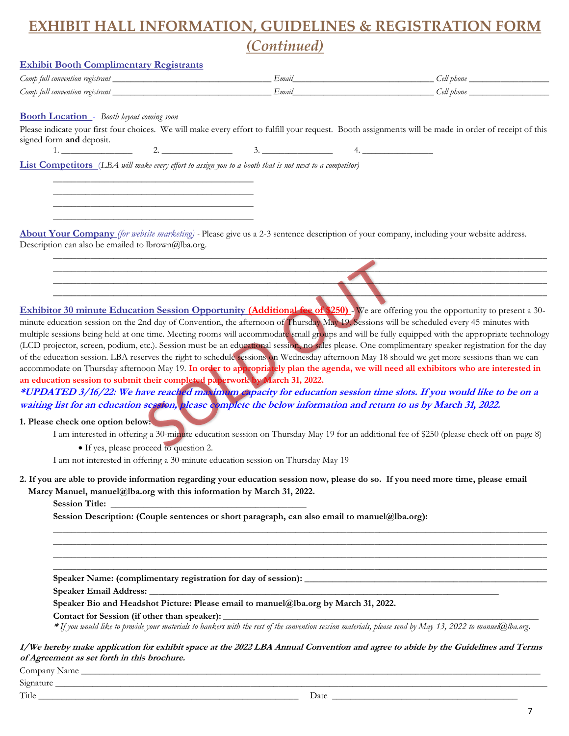# **EXHIBIT HALL INFORMATION, GUIDELINES & REGISTRATION FORM**  *(Continued)*

#### **Exhibit Booth Complimentary Registrants**

| Comp full convention registrant | Emay | ell phone. |
|---------------------------------|------|------------|
| Comp full convention registrant | Emay | ell phone  |

#### **Booth Location** - *Booth layout coming soon*

Please indicate your first four choices. We will make every effort to fulfill your request. Booth assignments will be made in order of receipt of this signed form **and** deposit. 2.  $3.$   $3.$ 

\_\_\_\_\_\_\_\_\_\_\_\_\_\_\_\_\_\_\_\_\_\_\_\_\_\_\_\_\_\_\_\_\_\_\_\_\_\_\_\_\_\_\_\_\_\_\_\_\_\_\_\_\_\_\_\_\_\_\_\_\_\_\_\_\_\_\_\_\_\_\_\_\_\_\_\_\_\_\_\_\_\_\_\_\_\_\_\_\_\_\_\_\_\_\_\_\_\_\_\_\_\_\_\_\_\_  $\mathcal{L} = \{ \mathcal{L} \mid \mathcal{L} \text{ is a constant, } \mathcal{L} \}$ \_\_\_\_\_\_\_\_\_\_\_\_\_\_\_\_\_\_\_\_\_\_\_\_\_\_\_\_\_\_\_\_\_\_\_\_\_\_\_\_\_\_\_\_\_\_\_\_\_\_\_\_\_\_\_\_\_\_\_\_\_\_\_\_\_\_\_\_\_\_\_\_\_\_\_\_\_\_\_\_\_\_\_\_\_\_\_\_\_\_\_\_\_\_\_\_\_\_\_\_\_\_\_\_\_\_

**List Competitors** (*LBA will make every effort to assign you to a booth that is not next to a competitor)*

\_\_\_\_\_\_\_\_\_\_\_\_\_\_\_\_\_\_\_\_\_\_\_\_\_\_\_\_\_\_\_\_\_\_\_\_\_\_\_\_\_\_\_ \_\_\_\_\_\_\_\_\_\_\_\_\_\_\_\_\_\_\_\_\_\_\_\_\_\_\_\_\_\_\_\_\_\_\_\_\_\_\_\_\_\_\_ \_\_\_\_\_\_\_\_\_\_\_\_\_\_\_\_\_\_\_\_\_\_\_\_\_\_\_\_\_\_\_\_\_\_\_\_\_\_\_\_\_\_\_ \_\_\_\_\_\_\_\_\_\_\_\_\_\_\_\_\_\_\_\_\_\_\_\_\_\_\_\_\_\_\_\_\_\_\_\_\_\_\_\_\_\_\_

**About Your Company** *(for website marketing) -* Please give us a 2-3 sentence description of your company, including your website address. Description can also be emailed to lbrown@lba.org. \_\_\_\_\_\_\_\_\_\_\_\_\_\_\_\_\_\_\_\_\_\_\_\_\_\_\_\_\_\_\_\_\_\_\_\_\_\_\_\_\_\_\_\_\_\_\_\_\_\_\_\_\_\_\_\_\_\_\_\_\_\_\_\_\_\_\_\_\_\_\_\_\_\_\_\_\_\_\_\_\_\_\_\_\_\_\_\_\_\_\_\_\_\_\_\_\_\_\_\_\_\_\_\_\_\_

**Exhibitor 30 minute Education Session Opportunity (Additional fee of \$250)**. We are offering you the opportunity to present a 30minute education session on the 2nd day of Convention, the afternoon of Thursday May 19. Sessions will be scheduled every 45 minutes with multiple sessions being held at one time. Meeting rooms will accommodate small groups and will be fully equipped with the appropriate technology (LCD projector, screen, podium, etc.). Session must be an educational session, no sales please. One complimentary speaker registration for the day of the education session. LBA reserves the right to schedule sessions on Wednesday afternoon May 18 should we get more sessions than we can accommodate on Thursday afternoon May 19. **In order to appropriately plan the agenda, we will need all exhibitors who are interested in an education session to submit their completed paperwork by March 31, 2022.** 

**\*UPDATED 3/16/22: We have reached maximum capacity for education session time slots. If you would like to be on a waiting list for an education session, please complete the below information and return to us by March 31, 2022.** 

#### **1. Please check one option below:**

I am interested in offering a 30-minute education session on Thursday May 19 for an additional fee of \$250 (please check off on page 8)

\_\_\_\_\_\_\_\_\_\_\_\_\_\_\_\_\_\_\_\_\_\_\_\_\_\_\_\_\_\_\_\_\_\_\_\_\_\_\_\_\_\_\_\_\_\_\_\_\_\_\_\_\_\_\_\_\_\_\_\_\_\_\_\_\_\_\_\_\_\_\_\_\_\_\_\_\_\_\_\_\_\_\_\_\_\_\_\_\_\_\_\_\_\_\_\_\_\_\_\_\_\_\_\_\_\_ \_\_\_\_\_\_\_\_\_\_\_\_\_\_\_\_\_\_\_\_\_\_\_\_\_\_\_\_\_\_\_\_\_\_\_\_\_\_\_\_\_\_\_\_\_\_\_\_\_\_\_\_\_\_\_\_\_\_\_\_\_\_\_\_\_\_\_\_\_\_\_\_\_\_\_\_\_\_\_\_\_\_\_\_\_\_\_\_\_\_\_\_\_\_\_\_\_\_\_\_\_\_\_\_\_\_ \_\_\_\_\_\_\_\_\_\_\_\_\_\_\_\_\_\_\_\_\_\_\_\_\_\_\_\_\_\_\_\_\_\_\_\_\_\_\_\_\_\_\_\_\_\_\_\_\_\_\_\_\_\_\_\_\_\_\_\_\_\_\_\_\_\_\_\_\_\_\_\_\_\_\_\_\_\_\_\_\_\_\_\_\_\_\_\_\_\_\_\_\_\_\_\_\_\_\_\_\_\_\_\_\_\_ \_\_\_\_\_\_\_\_\_\_\_\_\_\_\_\_\_\_\_\_\_\_\_\_\_\_\_\_\_\_\_\_\_\_\_\_\_\_\_\_\_\_\_\_\_\_\_\_\_\_\_\_\_\_\_\_\_\_\_\_\_\_\_\_\_\_\_\_\_\_\_\_\_\_\_\_\_\_\_\_\_\_\_\_\_\_\_\_\_\_\_\_\_\_\_\_\_\_\_\_\_\_\_\_\_\_

• If yes, please proceed to question 2.

I am not interested in offering a 30-minute education session on Thursday May 19

#### **2. If you are able to provide information regarding your education session now, please do so. If you need more time, please email Marcy Manuel, manuel@lba.org with this information by March 31, 2022.**

**Session Title: \_\_\_\_\_\_\_\_\_\_\_\_\_\_\_\_\_\_\_\_\_\_\_\_\_\_\_\_\_\_\_\_\_\_\_\_\_\_\_\_\_\_**

**Session Description: (Couple sentences or short paragraph, can also email to manuel@lba.org):**

**Speaker Name: (complimentary registration for day of session): \_\_\_\_\_\_\_\_\_\_\_\_\_\_\_\_\_\_\_\_\_\_\_\_\_\_\_\_\_\_\_\_\_\_\_\_\_\_\_\_\_\_\_\_\_\_\_\_\_\_\_\_**

**Speaker Email Address: \_\_\_\_\_\_\_\_\_\_\_\_\_\_\_\_\_\_\_\_\_\_\_\_\_\_\_\_\_\_\_\_\_\_\_\_\_\_\_\_\_\_\_\_\_\_\_\_\_\_\_\_\_\_\_\_\_\_\_\_\_\_\_\_\_\_\_\_\_\_\_\_\_\_\_**

**Speaker Bio and Headshot Picture: Please email to manuel@lba.org by March 31, 2022.** 

#### Contact for Session (if other than speaker):

**\*** *If you would like to provide your materials to bankers with the rest of the convention session materials, please send by May 13, 2022 to manuel@lba.org***.** 

**I/We hereby make application for exhibit space at the 2022 LBA Annual Convention and agree to abide by the Guidelines and Terms of Agreement as set forth in this brochure.**

Company Name

Signature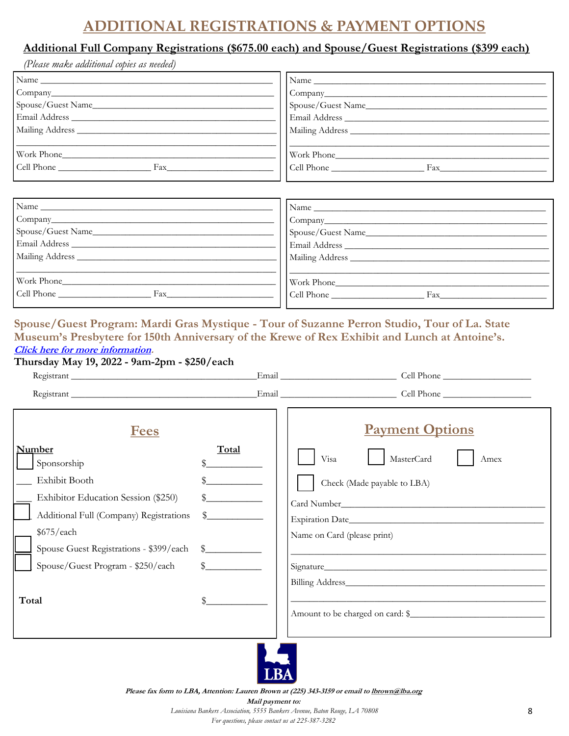# **ADDITIONAL REGISTRATIONS & PAYMENT OPTIONS**

### **Additional Full Company Registrations (\$675.00 each) and Spouse/Guest Registrations (\$399 each)**

*(Please make additional copies as needed)*

| $\frac{1}{2}$ Name | Name           |
|--------------------|----------------|
|                    |                |
|                    |                |
|                    |                |
|                    |                |
|                    |                |
| Work Phone         | Work Phone     |
| Cell Phone Fax     | Cell Phone Fax |
|                    |                |
|                    |                |
| Name               | Name           |

| $\overline{1}$             | $\Delta$          |
|----------------------------|-------------------|
|                            |                   |
| Spouse/Guest Name_________ | Spouse/Guest Name |
| Email Address              | Email Address     |
|                            | Mailing Address   |
|                            |                   |
| Work Phone                 | Work Phone        |
| Cell Phone<br>Fax          | Cell Phone<br>Fax |
|                            |                   |

### **Spouse/Guest Program: Mardi Gras Mystique - Tour of Suzanne Perron Studio, Tour of La. State Museum's Presbytere for 150th Anniversary of the Krewe of Rex Exhibit and Lunch at Antoine's. [Click here for more information.](https://lba.org/LBAConvention/Event_Details/LBAConvention/EventDetails.aspx)**

### **Thursday May 19, 2022 - 9am-2pm - \$250/each**

| <u>Fees</u><br><b>Number</b><br>Sponsorship<br>Exhibit Booth<br>Exhibitor Education Session (\$250)<br>Additional Full (Company) Registrations<br>\$675/each<br>Spouse Guest Registrations - \$399/each<br>Spouse/Guest Program - \$250/each<br>Total | Total<br>$\mathbb{S}$<br>$\mathbb{S}$<br>$\mathbb{S}$ | <b>Payment Options</b><br>MasterCard<br>Visa<br>Amex<br>Check (Made payable to LBA)<br>Name on Card (please print) |
|-------------------------------------------------------------------------------------------------------------------------------------------------------------------------------------------------------------------------------------------------------|-------------------------------------------------------|--------------------------------------------------------------------------------------------------------------------|
|                                                                                                                                                                                                                                                       |                                                       |                                                                                                                    |



**Please fax form to LBA, Attention: Lauren Brown at (225) 343-3159 or email to lbrown@lba.org Mail payment to:** *Louisiana Bankers Association, 5555 Bankers Avenue, Baton Rouge, LA 70808 For questions, please contact us at 225-387-3282*